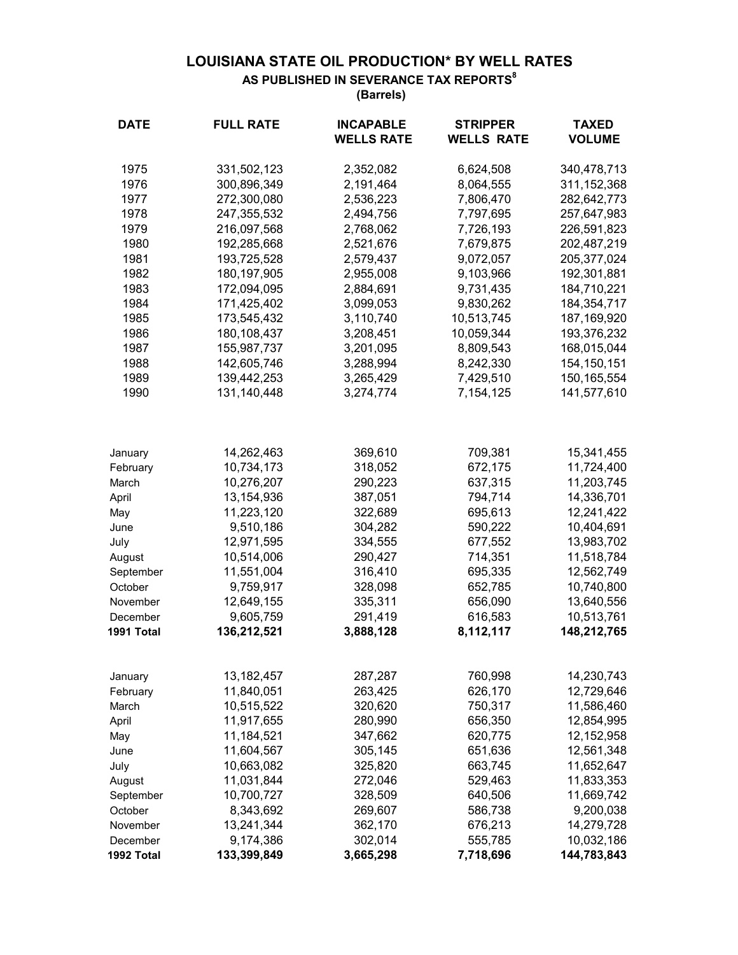## **LOUISIANA STATE OIL PRODUCTION\* BY WELL RATES AS PUBLISHED IN SEVERANCE TAX REPORTS<sup>8</sup>**

 **(Barrels)**

| <b>DATE</b> | <b>FULL RATE</b> | <b>INCAPABLE</b><br><b>WELLS RATE</b> | <b>STRIPPER</b><br><b>WELLS RATE</b> | <b>TAXED</b><br><b>VOLUME</b> |
|-------------|------------------|---------------------------------------|--------------------------------------|-------------------------------|
| 1975        | 331,502,123      | 2,352,082                             | 6,624,508                            | 340,478,713                   |
| 1976        | 300,896,349      | 2,191,464                             | 8,064,555                            | 311, 152, 368                 |
| 1977        | 272,300,080      | 2,536,223                             | 7,806,470                            | 282,642,773                   |
| 1978        | 247,355,532      | 2,494,756                             | 7,797,695                            | 257,647,983                   |
| 1979        | 216,097,568      | 2,768,062                             | 7,726,193                            | 226,591,823                   |
| 1980        | 192,285,668      | 2,521,676                             | 7,679,875                            | 202,487,219                   |
| 1981        | 193,725,528      | 2,579,437                             | 9,072,057                            | 205, 377, 024                 |
| 1982        | 180, 197, 905    | 2,955,008                             | 9,103,966                            | 192,301,881                   |
| 1983        | 172,094,095      | 2,884,691                             | 9,731,435                            | 184,710,221                   |
| 1984        | 171,425,402      | 3,099,053                             | 9,830,262                            | 184, 354, 717                 |
| 1985        | 173,545,432      | 3,110,740                             | 10,513,745                           | 187,169,920                   |
| 1986        | 180,108,437      | 3,208,451                             | 10,059,344                           | 193,376,232                   |
| 1987        | 155,987,737      | 3,201,095                             | 8,809,543                            | 168,015,044                   |
| 1988        | 142,605,746      | 3,288,994                             | 8,242,330                            | 154, 150, 151                 |
| 1989        | 139,442,253      | 3,265,429                             | 7,429,510                            | 150, 165, 554                 |
| 1990        | 131,140,448      | 3,274,774                             | 7,154,125                            | 141,577,610                   |
| January     | 14,262,463       | 369,610                               | 709,381                              | 15,341,455                    |
| February    | 10,734,173       | 318,052                               | 672,175                              | 11,724,400                    |
| March       | 10,276,207       | 290,223                               | 637,315                              | 11,203,745                    |
| April       | 13,154,936       | 387,051                               | 794,714                              | 14,336,701                    |
| May         | 11,223,120       | 322,689                               | 695,613                              | 12,241,422                    |
| June        | 9,510,186        | 304,282                               | 590,222                              | 10,404,691                    |
| July        | 12,971,595       | 334,555                               | 677,552                              | 13,983,702                    |
| August      | 10,514,006       | 290,427                               | 714,351                              | 11,518,784                    |
| September   | 11,551,004       | 316,410                               | 695,335                              | 12,562,749                    |
| October     | 9,759,917        | 328,098                               | 652,785                              | 10,740,800                    |
| November    | 12,649,155       | 335,311                               | 656,090                              | 13,640,556                    |
| December    | 9,605,759        | 291,419                               | 616,583                              | 10,513,761                    |
| 1991 Total  | 136,212,521      | 3,888,128                             | 8,112,117                            | 148,212,765                   |
| January     | 13,182,457       | 287,287                               | 760,998                              | 14,230,743                    |
| February    | 11,840,051       | 263,425                               | 626,170                              | 12,729,646                    |
| March       | 10,515,522       | 320,620                               | 750,317                              | 11,586,460                    |
| April       | 11,917,655       | 280,990                               | 656,350                              | 12,854,995                    |
| May         | 11,184,521       | 347,662                               | 620,775                              | 12,152,958                    |
| June        | 11,604,567       | 305,145                               | 651,636                              | 12,561,348                    |
| July        | 10,663,082       | 325,820                               | 663,745                              | 11,652,647                    |
| August      | 11,031,844       | 272,046                               | 529,463                              | 11,833,353                    |
| September   | 10,700,727       | 328,509                               | 640,506                              | 11,669,742                    |
| October     | 8,343,692        | 269,607                               | 586,738                              | 9,200,038                     |
| November    | 13,241,344       | 362,170                               | 676,213                              | 14,279,728                    |
| December    | 9,174,386        | 302,014                               | 555,785                              | 10,032,186                    |
| 1992 Total  | 133,399,849      | 3,665,298                             | 7,718,696                            | 144,783,843                   |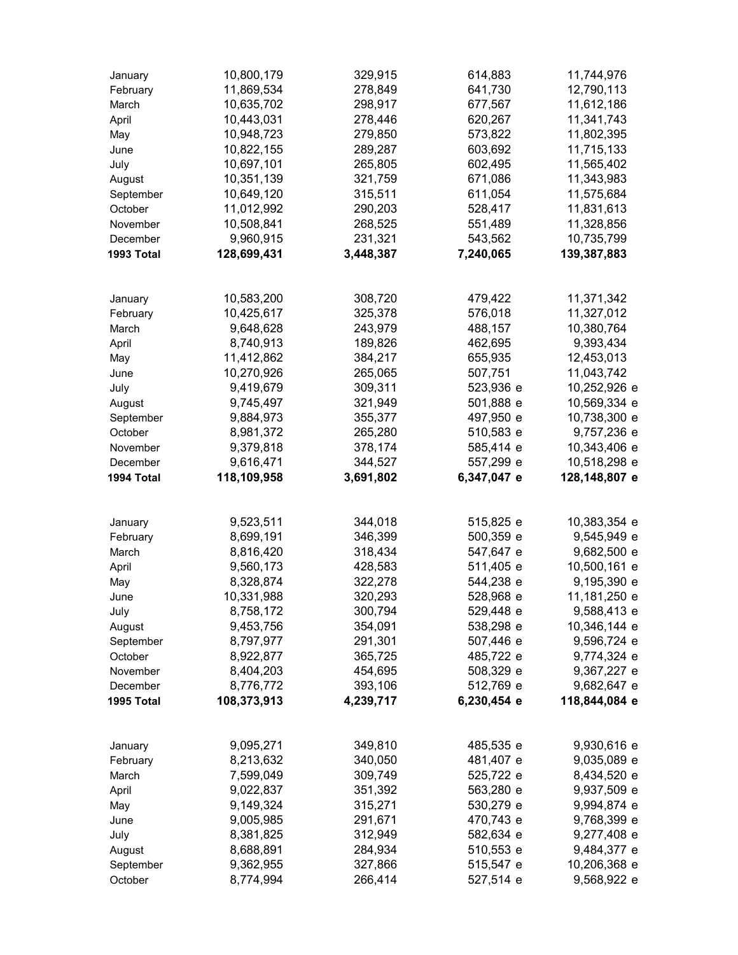| January    | 10,800,179  | 329,915   | 614,883     | 11,744,976    |
|------------|-------------|-----------|-------------|---------------|
| February   | 11,869,534  | 278,849   | 641,730     | 12,790,113    |
| March      | 10,635,702  | 298,917   | 677,567     | 11,612,186    |
| April      | 10,443,031  | 278,446   | 620,267     | 11,341,743    |
| May        | 10,948,723  | 279,850   | 573,822     | 11,802,395    |
| June       | 10,822,155  | 289,287   | 603,692     | 11,715,133    |
| July       | 10,697,101  | 265,805   | 602,495     | 11,565,402    |
| August     | 10,351,139  | 321,759   | 671,086     | 11,343,983    |
| September  | 10,649,120  | 315,511   | 611,054     | 11,575,684    |
| October    | 11,012,992  | 290,203   | 528,417     | 11,831,613    |
| November   | 10,508,841  | 268,525   | 551,489     | 11,328,856    |
| December   | 9,960,915   | 231,321   | 543,562     | 10,735,799    |
| 1993 Total | 128,699,431 | 3,448,387 | 7,240,065   | 139,387,883   |
|            |             |           |             |               |
| January    | 10,583,200  | 308,720   | 479,422     | 11,371,342    |
| February   | 10,425,617  | 325,378   | 576,018     | 11,327,012    |
| March      | 9,648,628   | 243,979   | 488,157     | 10,380,764    |
| April      | 8,740,913   | 189,826   | 462,695     | 9,393,434     |
| May        | 11,412,862  | 384,217   | 655,935     | 12,453,013    |
| June       | 10,270,926  | 265,065   | 507,751     | 11,043,742    |
| July       | 9,419,679   | 309,311   | 523,936 e   | 10,252,926 e  |
| August     | 9,745,497   | 321,949   | 501,888 e   | 10,569,334 e  |
| September  | 9,884,973   | 355,377   | 497,950 e   | 10,738,300 e  |
| October    | 8,981,372   | 265,280   | 510,583 e   | 9,757,236 e   |
| November   | 9,379,818   | 378,174   | 585,414 e   | 10,343,406 e  |
| December   | 9,616,471   | 344,527   | 557,299 e   | 10,518,298 e  |
| 1994 Total | 118,109,958 | 3,691,802 | 6,347,047 e | 128,148,807 e |
| January    | 9,523,511   | 344,018   | 515,825 e   | 10,383,354 e  |
| February   | 8,699,191   | 346,399   | 500,359 e   | 9,545,949 e   |
| March      | 8,816,420   | 318,434   | 547,647 e   | 9,682,500 e   |
| April      | 9,560,173   | 428,583   | 511,405 e   | 10,500,161 e  |
| May        | 8,328,874   | 322,278   | 544,238 e   | 9,195,390 e   |
| June       | 10,331,988  | 320,293   | 528,968 e   | 11,181,250 e  |
| July       | 8,758,172   | 300,794   | 529,448 e   | 9,588,413 e   |
| August     | 9,453,756   | 354,091   | 538,298 e   | 10,346,144 e  |
| September  | 8,797,977   | 291,301   | 507,446 e   | 9,596,724 e   |
| October    | 8,922,877   | 365,725   | 485,722 e   | 9,774,324 e   |
| November   | 8,404,203   | 454,695   | 508,329 e   | 9,367,227 e   |
| December   | 8,776,772   | 393,106   | 512,769 e   | 9,682,647 e   |
| 1995 Total | 108,373,913 | 4,239,717 | 6,230,454 e | 118,844,084 e |
|            |             |           |             |               |
| January    | 9,095,271   | 349,810   | 485,535 e   | 9,930,616 e   |
| February   | 8,213,632   | 340,050   | 481,407 e   | 9,035,089 e   |
| March      | 7,599,049   | 309,749   | 525,722 e   | 8,434,520 e   |
| April      | 9,022,837   | 351,392   | 563,280 e   | 9,937,509 e   |
| May        | 9,149,324   | 315,271   | 530,279 e   | 9,994,874 e   |
| June       | 9,005,985   | 291,671   | 470,743 e   | 9,768,399 e   |
| July       | 8,381,825   | 312,949   | 582,634 e   | 9,277,408 e   |
| August     | 8,688,891   | 284,934   | 510,553 e   | 9,484,377 e   |
| September  | 9,362,955   | 327,866   | 515,547 e   | 10,206,368 e  |
| October    | 8,774,994   | 266,414   | 527,514 e   | 9,568,922 e   |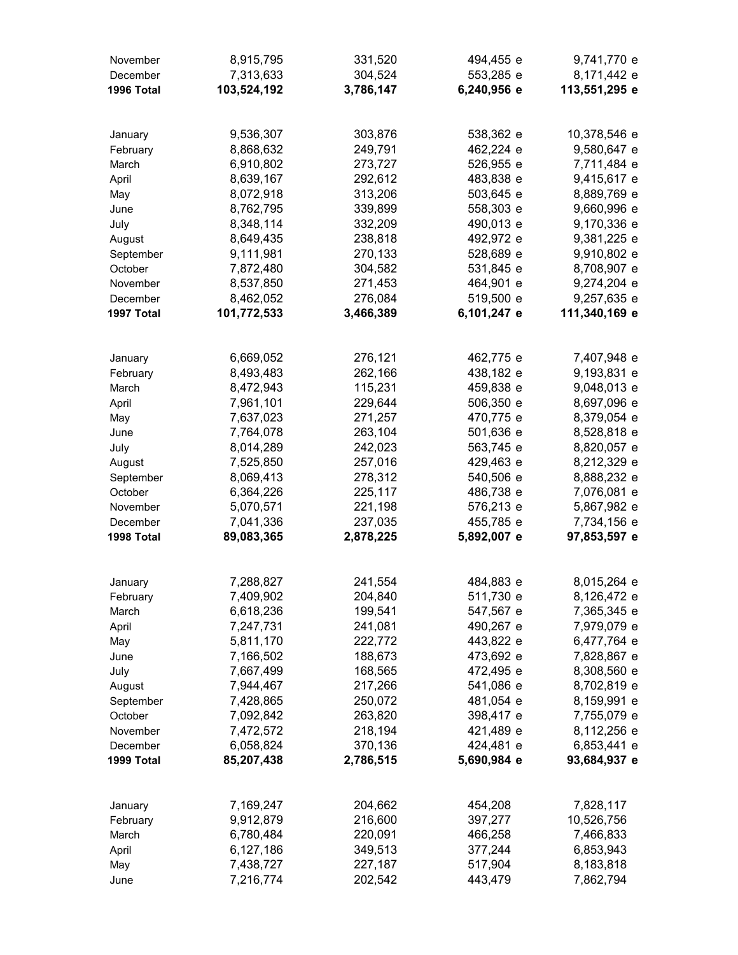| November            | 8,915,795   | 331,520   | 494,455 e   | 9,741,770 e   |
|---------------------|-------------|-----------|-------------|---------------|
| December            | 7,313,633   | 304,524   | 553,285 e   | 8,171,442 e   |
| 1996 Total          | 103,524,192 | 3,786,147 | 6,240,956 e | 113,551,295 e |
|                     |             |           |             |               |
| January             | 9,536,307   | 303,876   | 538,362 e   | 10,378,546 e  |
| February            | 8,868,632   | 249,791   | 462,224 e   | 9,580,647 e   |
| March               | 6,910,802   | 273,727   | 526,955 e   | 7,711,484 e   |
| April               | 8,639,167   | 292,612   | 483,838 e   | 9,415,617 e   |
| May                 | 8,072,918   | 313,206   | 503,645 e   | 8,889,769 e   |
| June                | 8,762,795   | 339,899   | 558,303 e   | 9,660,996 e   |
| July                | 8,348,114   | 332,209   | 490,013 e   | 9,170,336 e   |
| August              | 8,649,435   | 238,818   | 492,972 e   | 9,381,225 e   |
| September           | 9,111,981   | 270,133   | 528,689 e   | 9,910,802 e   |
| October             | 7,872,480   | 304,582   | 531,845 e   | 8,708,907 e   |
| November            | 8,537,850   | 271,453   | 464,901 e   | 9,274,204 e   |
| December            | 8,462,052   | 276,084   | 519,500 e   | 9,257,635 e   |
| 1997 Total          | 101,772,533 | 3,466,389 | 6,101,247 e | 111,340,169 e |
|                     | 6,669,052   | 276,121   | 462,775 e   | 7,407,948 e   |
| January<br>February | 8,493,483   | 262,166   | 438,182 e   | 9,193,831 e   |
| March               | 8,472,943   | 115,231   | 459,838 e   | 9,048,013 e   |
| April               | 7,961,101   | 229,644   | 506,350 e   | 8,697,096 e   |
| May                 | 7,637,023   | 271,257   | 470,775 e   | 8,379,054 e   |
| June                | 7,764,078   | 263,104   | 501,636 e   | 8,528,818 e   |
| July                | 8,014,289   | 242,023   | 563,745 e   | 8,820,057 e   |
| August              | 7,525,850   | 257,016   | 429,463 e   | 8,212,329 e   |
| September           | 8,069,413   | 278,312   | 540,506 e   | 8,888,232 e   |
| October             | 6,364,226   | 225,117   | 486,738 e   | 7,076,081 e   |
| November            | 5,070,571   | 221,198   | 576,213 e   | 5,867,982 e   |
| December            | 7,041,336   | 237,035   | 455,785 e   | 7,734,156 e   |
| 1998 Total          | 89,083,365  | 2,878,225 | 5,892,007 e | 97,853,597 e  |
|                     |             |           |             |               |
| January             | 7,288,827   | 241,554   | 484,883 e   | 8,015,264 e   |
| February            | 7,409,902   | 204,840   | 511,730 e   | 8,126,472 e   |
| March               | 6,618,236   | 199,541   | 547,567 e   | 7,365,345 e   |
| April               | 7,247,731   | 241,081   | 490,267 e   | 7,979,079 e   |
| May                 | 5,811,170   | 222,772   | 443,822 e   | 6,477,764 e   |
| June                | 7,166,502   | 188,673   | 473,692 e   | 7,828,867 e   |
| July                | 7,667,499   | 168,565   | 472,495 e   | 8,308,560 e   |
| August              | 7,944,467   | 217,266   | 541,086 e   | 8,702,819 e   |
| September           | 7,428,865   | 250,072   | 481,054 e   | 8,159,991 e   |
| October             | 7,092,842   | 263,820   | 398,417 e   | 7,755,079 e   |
| November            | 7,472,572   | 218,194   | 421,489 e   | 8,112,256 e   |
| December            | 6,058,824   | 370,136   | 424,481 e   | 6,853,441 e   |
| 1999 Total          | 85,207,438  | 2,786,515 | 5,690,984 e | 93,684,937 e  |
| January             | 7,169,247   | 204,662   | 454,208     | 7,828,117     |
| February            | 9,912,879   | 216,600   | 397,277     | 10,526,756    |
| March               | 6,780,484   | 220,091   | 466,258     | 7,466,833     |
| April               | 6,127,186   | 349,513   | 377,244     | 6,853,943     |
| May                 | 7,438,727   | 227,187   | 517,904     | 8,183,818     |
| June                | 7,216,774   | 202,542   | 443,479     | 7,862,794     |
|                     |             |           |             |               |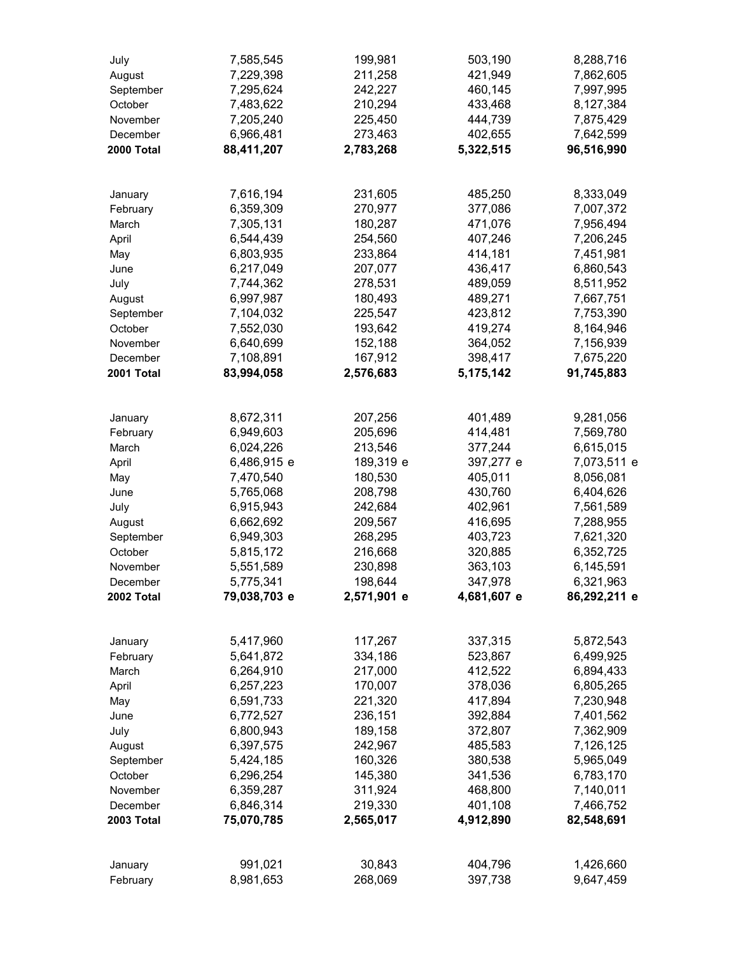| July       | 7,585,545    | 199,981     | 503,190     | 8,288,716    |
|------------|--------------|-------------|-------------|--------------|
| August     | 7,229,398    | 211,258     | 421,949     | 7,862,605    |
| September  | 7,295,624    | 242,227     | 460,145     | 7,997,995    |
| October    | 7,483,622    | 210,294     | 433,468     | 8,127,384    |
| November   | 7,205,240    | 225,450     | 444,739     | 7,875,429    |
| December   | 6,966,481    | 273,463     | 402,655     | 7,642,599    |
| 2000 Total | 88,411,207   | 2,783,268   | 5,322,515   | 96,516,990   |
|            |              |             |             |              |
|            |              |             |             |              |
| January    | 7,616,194    | 231,605     | 485,250     | 8,333,049    |
| February   | 6,359,309    | 270,977     | 377,086     | 7,007,372    |
| March      | 7,305,131    | 180,287     | 471,076     | 7,956,494    |
| April      | 6,544,439    | 254,560     | 407,246     | 7,206,245    |
| May        | 6,803,935    | 233,864     | 414,181     | 7,451,981    |
| June       | 6,217,049    | 207,077     | 436,417     | 6,860,543    |
| July       | 7,744,362    | 278,531     | 489,059     | 8,511,952    |
| August     | 6,997,987    | 180,493     | 489,271     | 7,667,751    |
| September  | 7,104,032    | 225,547     | 423,812     | 7,753,390    |
| October    | 7,552,030    | 193,642     | 419,274     | 8,164,946    |
| November   | 6,640,699    | 152,188     | 364,052     | 7,156,939    |
| December   | 7,108,891    | 167,912     | 398,417     | 7,675,220    |
| 2001 Total | 83,994,058   | 2,576,683   | 5,175,142   | 91,745,883   |
|            |              |             |             |              |
| January    | 8,672,311    | 207,256     | 401,489     | 9,281,056    |
| February   | 6,949,603    | 205,696     | 414,481     | 7,569,780    |
| March      | 6,024,226    | 213,546     | 377,244     | 6,615,015    |
| April      | 6,486,915 e  | 189,319 e   | 397,277 e   | 7,073,511 e  |
| May        | 7,470,540    | 180,530     | 405,011     | 8,056,081    |
| June       | 5,765,068    | 208,798     | 430,760     | 6,404,626    |
| July       | 6,915,943    | 242,684     | 402,961     | 7,561,589    |
| August     | 6,662,692    | 209,567     | 416,695     | 7,288,955    |
| September  | 6,949,303    | 268,295     | 403,723     | 7,621,320    |
| October    | 5,815,172    | 216,668     | 320,885     | 6,352,725    |
| November   | 5,551,589    | 230,898     | 363,103     | 6,145,591    |
| December   | 5,775,341    | 198,644     | 347,978     | 6,321,963    |
| 2002 Total | 79,038,703 e | 2,571,901 e | 4,681,607 e | 86,292,211 e |
|            |              |             |             |              |
| January    | 5,417,960    | 117,267     | 337,315     | 5,872,543    |
| February   | 5,641,872    | 334,186     | 523,867     | 6,499,925    |
| March      | 6,264,910    | 217,000     | 412,522     | 6,894,433    |
| April      | 6,257,223    | 170,007     | 378,036     | 6,805,265    |
| May        | 6,591,733    | 221,320     | 417,894     | 7,230,948    |
| June       | 6,772,527    | 236,151     | 392,884     | 7,401,562    |
| July       | 6,800,943    | 189,158     | 372,807     | 7,362,909    |
| August     | 6,397,575    | 242,967     | 485,583     | 7,126,125    |
| September  | 5,424,185    | 160,326     | 380,538     | 5,965,049    |
| October    | 6,296,254    | 145,380     | 341,536     | 6,783,170    |
| November   | 6,359,287    | 311,924     | 468,800     | 7,140,011    |
| December   | 6,846,314    | 219,330     | 401,108     | 7,466,752    |
| 2003 Total | 75,070,785   | 2,565,017   | 4,912,890   | 82,548,691   |
|            |              |             |             |              |
|            |              |             |             |              |
| January    | 991,021      | 30,843      | 404,796     | 1,426,660    |
| February   | 8,981,653    | 268,069     | 397,738     | 9,647,459    |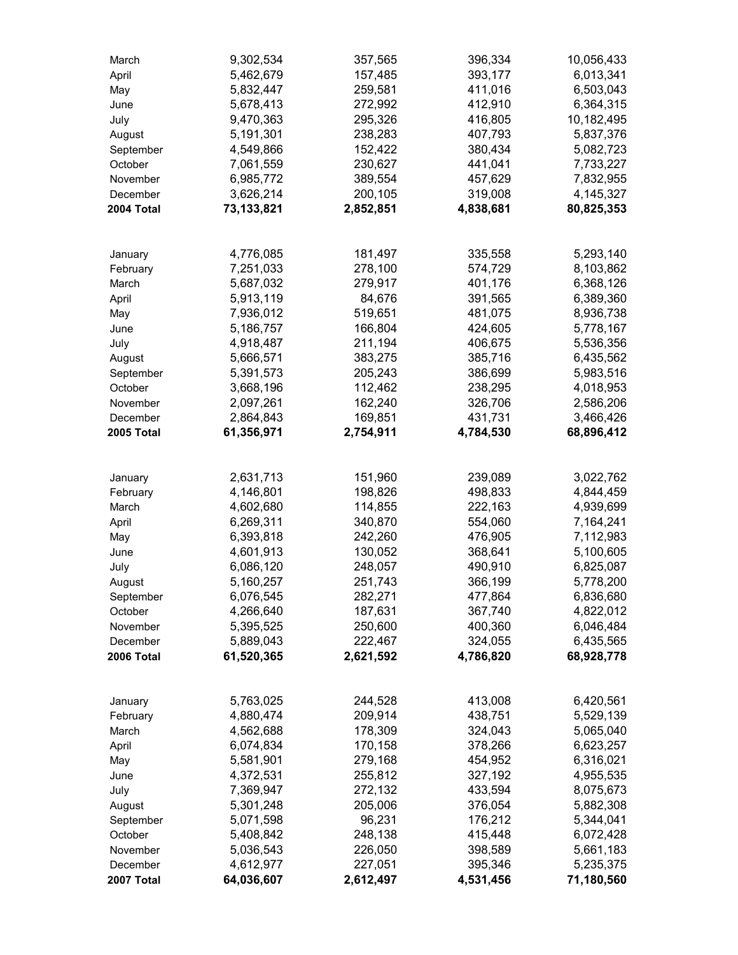| March                | 9,302,534              | 357,565            | 396,334            | 10,056,433             |
|----------------------|------------------------|--------------------|--------------------|------------------------|
| April                | 5,462,679              | 157,485            | 393,177            | 6,013,341              |
| May                  | 5,832,447              | 259,581            | 411,016            | 6,503,043              |
| June                 | 5,678,413              | 272,992            | 412,910            | 6,364,315              |
| July                 | 9,470,363              | 295,326            | 416,805            | 10,182,495             |
| August               | 5,191,301              | 238,283            | 407,793            | 5,837,376              |
| September            | 4,549,866              | 152,422            | 380,434            | 5,082,723              |
| October              | 7,061,559              | 230,627            | 441,041            | 7,733,227              |
| November             | 6,985,772              | 389,554            | 457,629            | 7,832,955              |
| December             | 3,626,214              | 200,105            | 319,008            | 4,145,327              |
| 2004 Total           | 73,133,821             | 2,852,851          | 4,838,681          | 80,825,353             |
| January              | 4,776,085              | 181,497            | 335,558            | 5,293,140              |
| February             | 7,251,033              | 278,100            | 574,729            | 8,103,862              |
| March                | 5,687,032              | 279,917            | 401,176            | 6,368,126              |
| April                | 5,913,119              | 84,676             | 391,565            | 6,389,360              |
| May                  | 7,936,012              | 519,651            | 481,075            | 8,936,738              |
| June                 | 5,186,757              | 166,804            | 424,605            | 5,778,167              |
| July                 | 4,918,487              | 211,194            | 406,675            | 5,536,356              |
| August               | 5,666,571              | 383,275            | 385,716            | 6,435,562              |
| September            | 5,391,573              | 205,243            | 386,699            | 5,983,516              |
| October              | 3,668,196              | 112,462            | 238,295            | 4,018,953              |
| November             | 2,097,261              | 162,240            | 326,706            | 2,586,206              |
| December             | 2,864,843              | 169,851            | 431,731            | 3,466,426              |
| 2005 Total           | 61,356,971             | 2,754,911          | 4,784,530          | 68,896,412             |
|                      |                        |                    |                    |                        |
| January              | 2,631,713              | 151,960            | 239,089            | 3,022,762              |
| February             | 4,146,801              | 198,826            | 498,833            | 4,844,459              |
| March                | 4,602,680              | 114,855            | 222,163            | 4,939,699              |
| April                | 6,269,311              | 340,870            | 554,060            | 7,164,241              |
| May                  | 6,393,818              | 242,260            | 476,905            | 7,112,983              |
| June                 | 4,601,913              | 130,052            | 368,641            | 5,100,605              |
| July                 | 6,086,120              | 248,057            | 490,910            | 6,825,087              |
| August               | 5,160,257              | 251,743            | 366,199            | 5,778,200              |
| September            | 6,076,545              | 282,271            | 477,864            | 6,836,680              |
| October              | 4,266,640              | 187,631            | 367,740            | 4,822,012              |
| November             | 5,395,525              | 250,600            | 400,360            | 6,046,484              |
| December             | 5,889,043              | 222,467            | 324,055            | 6,435,565              |
| 2006 Total           | 61,520,365             | 2,621,592          | 4,786,820          | 68,928,778             |
|                      |                        |                    | 413,008            |                        |
| January              | 5,763,025              | 244,528            |                    | 6,420,561              |
| February             | 4,880,474              | 209,914            | 438,751            | 5,529,139              |
| March                | 4,562,688              | 178,309            | 324,043            | 5,065,040              |
| April                | 6,074,834              | 170,158            | 378,266            | 6,623,257              |
| May                  | 5,581,901              | 279,168            | 454,952            | 6,316,021              |
| June                 | 4,372,531              | 255,812            | 327,192            | 4,955,535              |
| July                 | 7,369,947              | 272,132            | 433,594            | 8,075,673              |
| August               | 5,301,248              | 205,006            | 376,054            | 5,882,308              |
| September            | 5,071,598              | 96,231             | 176,212            | 5,344,041              |
| October              | 5,408,842              | 248,138            | 415,448<br>398,589 | 6,072,428              |
| November<br>December | 5,036,543<br>4,612,977 | 226,050<br>227,051 | 395,346            | 5,661,183<br>5,235,375 |
| 2007 Total           | 64,036,607             | 2,612,497          | 4,531,456          | 71,180,560             |
|                      |                        |                    |                    |                        |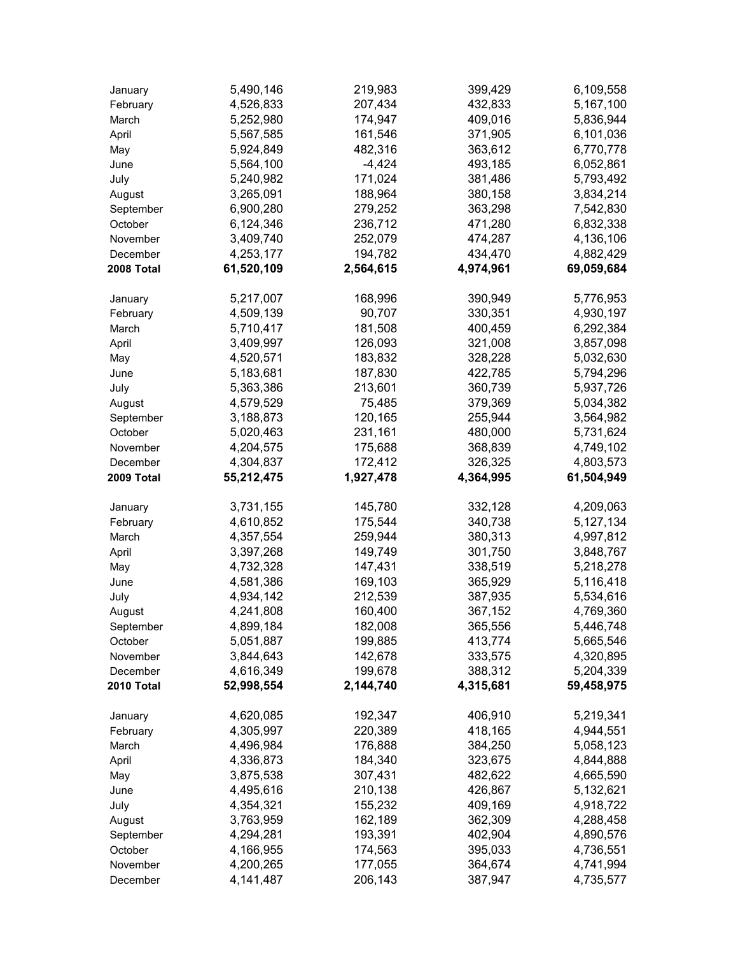| January    | 5,490,146  | 219,983   | 399,429   | 6,109,558  |
|------------|------------|-----------|-----------|------------|
| February   | 4,526,833  | 207,434   | 432,833   | 5,167,100  |
| March      | 5,252,980  | 174,947   | 409,016   | 5,836,944  |
| April      | 5,567,585  | 161,546   | 371,905   | 6,101,036  |
| May        | 5,924,849  | 482,316   | 363,612   | 6,770,778  |
| June       | 5,564,100  | $-4,424$  | 493,185   | 6,052,861  |
| July       | 5,240,982  | 171,024   | 381,486   | 5,793,492  |
| August     | 3,265,091  | 188,964   | 380,158   | 3,834,214  |
| September  | 6,900,280  | 279,252   | 363,298   | 7,542,830  |
| October    | 6,124,346  | 236,712   | 471,280   | 6,832,338  |
| November   | 3,409,740  | 252,079   | 474,287   | 4,136,106  |
| December   | 4,253,177  | 194,782   | 434,470   | 4,882,429  |
| 2008 Total | 61,520,109 | 2,564,615 | 4,974,961 | 69,059,684 |
| January    | 5,217,007  | 168,996   | 390,949   | 5,776,953  |
| February   | 4,509,139  | 90,707    | 330,351   | 4,930,197  |
| March      | 5,710,417  | 181,508   | 400,459   | 6,292,384  |
| April      | 3,409,997  | 126,093   | 321,008   | 3,857,098  |
| May        | 4,520,571  | 183,832   | 328,228   | 5,032,630  |
| June       | 5,183,681  | 187,830   | 422,785   | 5,794,296  |
| July       | 5,363,386  | 213,601   | 360,739   | 5,937,726  |
| August     | 4,579,529  | 75,485    | 379,369   | 5,034,382  |
| September  | 3,188,873  | 120,165   | 255,944   | 3,564,982  |
| October    | 5,020,463  | 231,161   | 480,000   | 5,731,624  |
| November   | 4,204,575  | 175,688   | 368,839   | 4,749,102  |
| December   | 4,304,837  | 172,412   | 326,325   | 4,803,573  |
| 2009 Total | 55,212,475 | 1,927,478 | 4,364,995 | 61,504,949 |
| January    | 3,731,155  | 145,780   | 332,128   | 4,209,063  |
| February   | 4,610,852  | 175,544   | 340,738   | 5,127,134  |
| March      | 4,357,554  | 259,944   | 380,313   | 4,997,812  |
| April      | 3,397,268  | 149,749   | 301,750   | 3,848,767  |
| May        | 4,732,328  | 147,431   | 338,519   | 5,218,278  |
| June       | 4,581,386  | 169,103   | 365,929   | 5,116,418  |
| July       | 4,934,142  | 212,539   | 387,935   | 5,534,616  |
| August     | 4,241,808  | 160,400   | 367,152   | 4,769,360  |
| September  | 4,899,184  | 182,008   | 365,556   | 5,446,748  |
| October    | 5,051,887  | 199,885   | 413,774   | 5,665,546  |
| November   | 3,844,643  | 142,678   | 333,575   | 4,320,895  |
| December   | 4,616,349  | 199,678   | 388,312   | 5,204,339  |
| 2010 Total | 52,998,554 | 2,144,740 | 4,315,681 | 59,458,975 |
| January    | 4,620,085  | 192,347   | 406,910   | 5,219,341  |
| February   | 4,305,997  | 220,389   | 418,165   | 4,944,551  |
| March      | 4,496,984  | 176,888   | 384,250   | 5,058,123  |
| April      | 4,336,873  | 184,340   | 323,675   | 4,844,888  |
| May        | 3,875,538  | 307,431   | 482,622   | 4,665,590  |
| June       | 4,495,616  | 210,138   | 426,867   | 5,132,621  |
| July       | 4,354,321  | 155,232   | 409,169   | 4,918,722  |
| August     | 3,763,959  | 162,189   | 362,309   | 4,288,458  |
| September  | 4,294,281  | 193,391   | 402,904   | 4,890,576  |
| October    | 4,166,955  | 174,563   | 395,033   | 4,736,551  |
| November   | 4,200,265  | 177,055   | 364,674   | 4,741,994  |
| December   | 4,141,487  | 206,143   | 387,947   | 4,735,577  |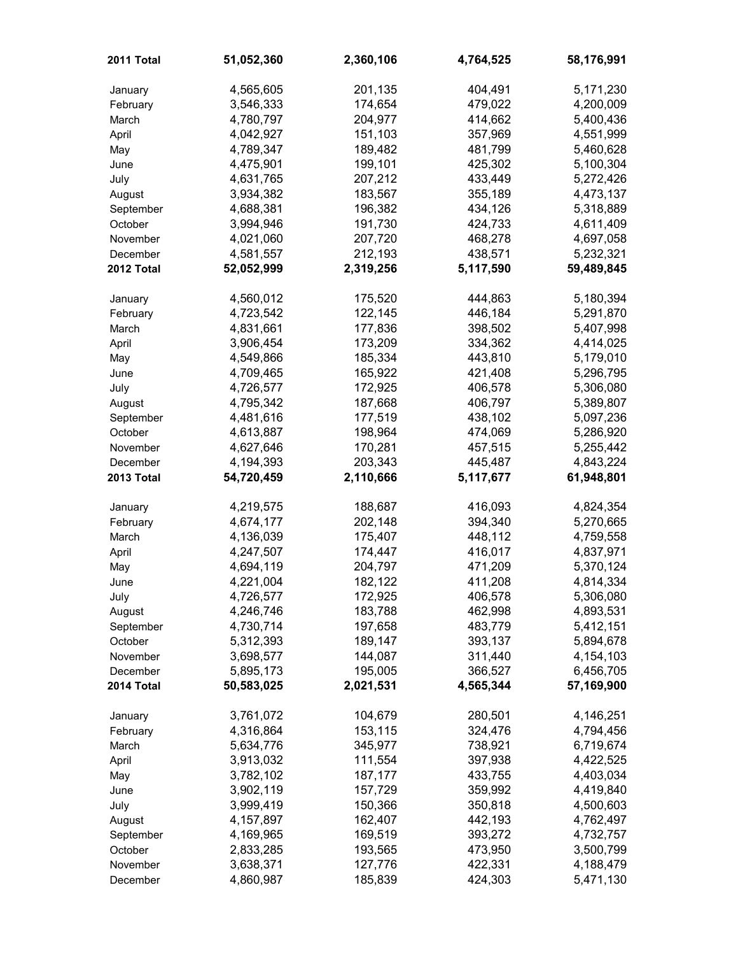| 2011 Total | 51,052,360 | 2,360,106 | 4,764,525 | 58,176,991 |
|------------|------------|-----------|-----------|------------|
| January    | 4,565,605  | 201,135   | 404,491   | 5,171,230  |
| February   | 3,546,333  | 174,654   | 479,022   | 4,200,009  |
| March      | 4,780,797  | 204,977   | 414,662   | 5,400,436  |
| April      | 4,042,927  | 151,103   | 357,969   | 4,551,999  |
| May        | 4,789,347  | 189,482   | 481,799   | 5,460,628  |
| June       | 4,475,901  | 199,101   | 425,302   | 5,100,304  |
| July       | 4,631,765  | 207,212   | 433,449   | 5,272,426  |
| August     | 3,934,382  | 183,567   | 355,189   | 4,473,137  |
| September  | 4,688,381  | 196,382   | 434,126   | 5,318,889  |
| October    | 3,994,946  | 191,730   | 424,733   | 4,611,409  |
| November   | 4,021,060  | 207,720   | 468,278   | 4,697,058  |
| December   | 4,581,557  | 212,193   | 438,571   | 5,232,321  |
| 2012 Total | 52,052,999 | 2,319,256 | 5,117,590 | 59,489,845 |
| January    | 4,560,012  | 175,520   | 444,863   | 5,180,394  |
| February   | 4,723,542  | 122,145   | 446,184   | 5,291,870  |
| March      | 4,831,661  | 177,836   | 398,502   | 5,407,998  |
| April      | 3,906,454  | 173,209   | 334,362   | 4,414,025  |
| May        | 4,549,866  | 185,334   | 443,810   | 5,179,010  |
| June       | 4,709,465  | 165,922   | 421,408   | 5,296,795  |
| July       | 4,726,577  | 172,925   | 406,578   | 5,306,080  |
| August     | 4,795,342  | 187,668   | 406,797   | 5,389,807  |
| September  | 4,481,616  | 177,519   | 438,102   | 5,097,236  |
| October    | 4,613,887  | 198,964   | 474,069   | 5,286,920  |
| November   | 4,627,646  | 170,281   | 457,515   | 5,255,442  |
| December   | 4,194,393  | 203,343   | 445,487   | 4,843,224  |
| 2013 Total | 54,720,459 | 2,110,666 | 5,117,677 | 61,948,801 |
| January    | 4,219,575  | 188,687   | 416,093   | 4,824,354  |
| February   | 4,674,177  | 202,148   | 394,340   | 5,270,665  |
| March      | 4,136,039  | 175,407   | 448,112   | 4,759,558  |
| April      | 4,247,507  | 174,447   | 416,017   | 4,837,971  |
| May        | 4,694,119  | 204,797   | 471,209   | 5,370,124  |
| June       | 4,221,004  | 182,122   | 411,208   | 4,814,334  |
| July       | 4,726,577  | 172,925   | 406,578   | 5,306,080  |
| August     | 4,246,746  | 183,788   | 462,998   | 4,893,531  |
| September  | 4,730,714  | 197,658   | 483,779   | 5,412,151  |
| October    | 5,312,393  | 189,147   | 393,137   | 5,894,678  |
| November   | 3,698,577  | 144,087   | 311,440   | 4,154,103  |
| December   | 5,895,173  | 195,005   | 366,527   | 6,456,705  |
| 2014 Total | 50,583,025 | 2,021,531 | 4,565,344 | 57,169,900 |
| January    | 3,761,072  | 104,679   | 280,501   | 4,146,251  |
| February   | 4,316,864  | 153,115   | 324,476   | 4,794,456  |
| March      | 5,634,776  | 345,977   | 738,921   | 6,719,674  |
| April      | 3,913,032  | 111,554   | 397,938   | 4,422,525  |
| May        | 3,782,102  | 187,177   | 433,755   | 4,403,034  |
| June       | 3,902,119  | 157,729   | 359,992   | 4,419,840  |
| July       | 3,999,419  | 150,366   | 350,818   | 4,500,603  |
| August     | 4,157,897  | 162,407   | 442,193   | 4,762,497  |
| September  | 4,169,965  | 169,519   | 393,272   | 4,732,757  |
| October    | 2,833,285  | 193,565   | 473,950   | 3,500,799  |
|            |            |           |           |            |
| November   | 3,638,371  | 127,776   | 422,331   | 4,188,479  |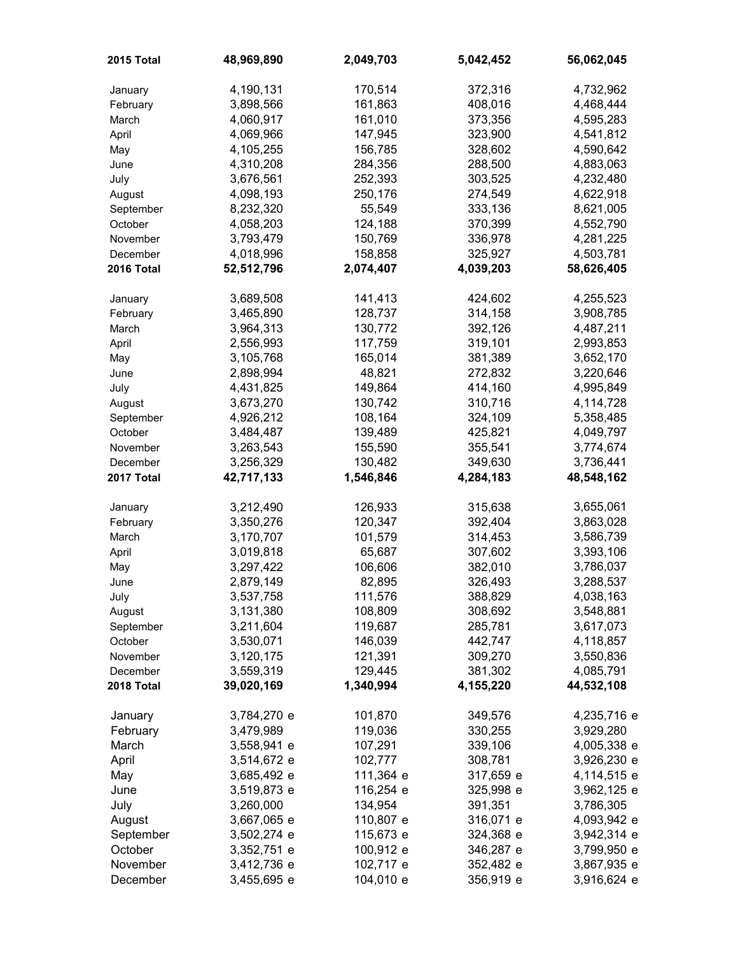| 2015 Total | 48,969,890  | 2,049,703 | 5,042,452 | 56,062,045  |
|------------|-------------|-----------|-----------|-------------|
| January    | 4,190,131   | 170,514   | 372,316   | 4,732,962   |
| February   | 3,898,566   | 161,863   | 408,016   | 4,468,444   |
| March      | 4,060,917   | 161,010   | 373,356   | 4,595,283   |
| April      | 4,069,966   | 147,945   | 323,900   | 4,541,812   |
| May        | 4,105,255   | 156,785   | 328,602   | 4,590,642   |
| June       | 4,310,208   | 284,356   | 288,500   | 4,883,063   |
| July       | 3,676,561   | 252,393   | 303,525   | 4,232,480   |
| August     | 4,098,193   | 250,176   | 274,549   | 4,622,918   |
| September  | 8,232,320   | 55,549    | 333,136   | 8,621,005   |
| October    | 4,058,203   | 124,188   | 370,399   | 4,552,790   |
| November   | 3,793,479   | 150,769   | 336,978   | 4,281,225   |
| December   | 4,018,996   | 158,858   | 325,927   | 4,503,781   |
| 2016 Total | 52,512,796  | 2,074,407 | 4,039,203 | 58,626,405  |
| January    | 3,689,508   | 141,413   | 424,602   | 4,255,523   |
| February   | 3,465,890   | 128,737   | 314,158   | 3,908,785   |
| March      | 3,964,313   | 130,772   | 392,126   | 4,487,211   |
| April      | 2,556,993   | 117,759   | 319,101   | 2,993,853   |
| May        | 3,105,768   | 165,014   | 381,389   | 3,652,170   |
| June       | 2,898,994   | 48,821    | 272,832   | 3,220,646   |
| July       | 4,431,825   | 149,864   | 414,160   | 4,995,849   |
| August     | 3,673,270   | 130,742   | 310,716   | 4,114,728   |
| September  | 4,926,212   | 108,164   | 324,109   | 5,358,485   |
| October    | 3,484,487   | 139,489   | 425,821   | 4,049,797   |
| November   | 3,263,543   | 155,590   | 355,541   | 3,774,674   |
| December   | 3,256,329   | 130,482   | 349,630   | 3,736,441   |
| 2017 Total | 42,717,133  | 1,546,846 | 4,284,183 | 48,548,162  |
| January    | 3,212,490   | 126,933   | 315,638   | 3,655,061   |
| February   | 3,350,276   | 120,347   | 392,404   | 3,863,028   |
| March      | 3,170,707   | 101,579   | 314,453   | 3,586,739   |
| April      | 3,019,818   | 65,687    | 307,602   | 3,393,106   |
| May        | 3,297,422   | 106,606   | 382,010   | 3,786,037   |
| June       | 2,879,149   | 82,895    | 326,493   | 3,288,537   |
| July       | 3,537,758   | 111,576   | 388,829   | 4,038,163   |
| August     | 3,131,380   | 108,809   | 308,692   | 3,548,881   |
| September  | 3,211,604   | 119,687   | 285,781   | 3,617,073   |
| October    | 3,530,071   | 146,039   | 442,747   | 4,118,857   |
| November   | 3,120,175   | 121,391   | 309,270   | 3,550,836   |
| December   | 3,559,319   | 129,445   | 381,302   | 4,085,791   |
| 2018 Total | 39,020,169  | 1,340,994 | 4,155,220 | 44,532,108  |
| January    | 3,784,270 e | 101,870   | 349,576   | 4,235,716 e |
| February   | 3,479,989   | 119,036   | 330,255   | 3,929,280   |
| March      | 3,558,941 e | 107,291   | 339,106   | 4,005,338 e |
| April      | 3,514,672 e | 102,777   | 308,781   | 3,926,230 e |
| May        | 3,685,492 e | 111,364 e | 317,659 e | 4,114,515 e |
| June       | 3,519,873 e | 116,254 e | 325,998 e | 3,962,125 e |
| July       | 3,260,000   | 134,954   | 391,351   | 3,786,305   |
| August     | 3,667,065 e | 110,807 e | 316,071 e | 4,093,942 e |
| September  | 3,502,274 e | 115,673 e | 324,368 e | 3,942,314 e |
| October    | 3,352,751 e | 100,912 e | 346,287 e | 3,799,950 e |
| November   | 3,412,736 e | 102,717 e | 352,482 e | 3,867,935 e |
| December   | 3,455,695 e | 104,010 e | 356,919 e | 3,916,624 e |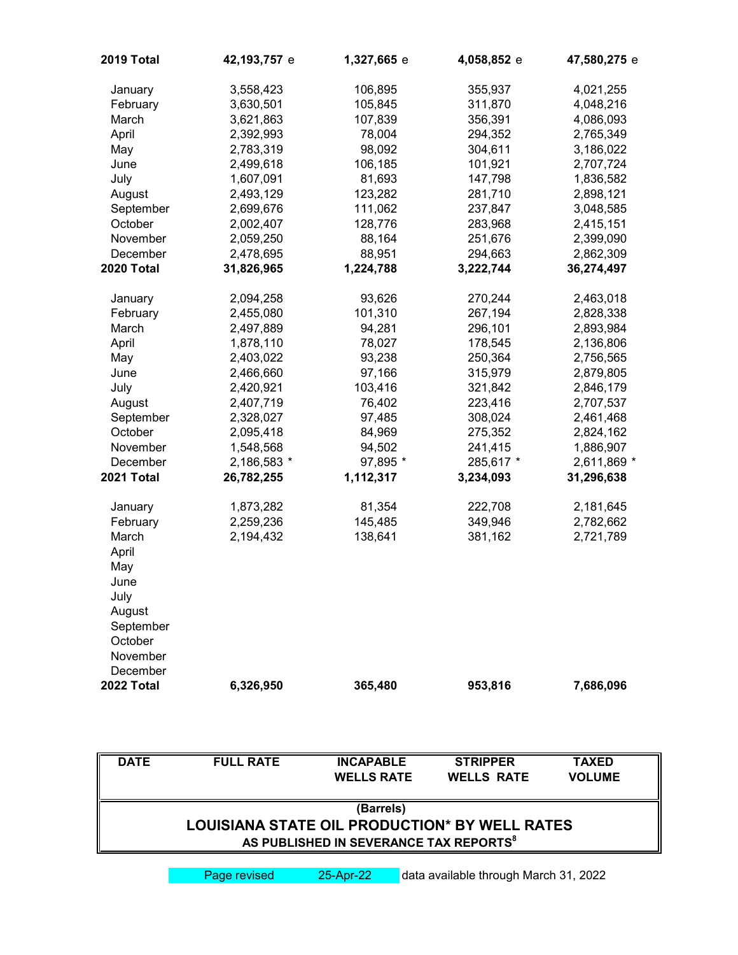| 2019 Total     | 42,193,757 e | 1,327,665 e | 4,058,852 e | 47,580,275 e |
|----------------|--------------|-------------|-------------|--------------|
| January        | 3,558,423    | 106,895     | 355,937     | 4,021,255    |
| February       | 3,630,501    | 105,845     | 311,870     | 4,048,216    |
| March          | 3,621,863    | 107,839     | 356,391     | 4,086,093    |
| April          | 2,392,993    | 78,004      | 294,352     | 2,765,349    |
| May            | 2,783,319    | 98,092      | 304,611     | 3,186,022    |
| June           | 2,499,618    | 106,185     | 101,921     | 2,707,724    |
| July           | 1,607,091    | 81,693      | 147,798     | 1,836,582    |
| August         | 2,493,129    | 123,282     | 281,710     | 2,898,121    |
| September      | 2,699,676    | 111,062     | 237,847     | 3,048,585    |
| October        | 2,002,407    | 128,776     | 283,968     | 2,415,151    |
| November       | 2,059,250    | 88,164      | 251,676     | 2,399,090    |
| December       | 2,478,695    | 88,951      | 294,663     | 2,862,309    |
| 2020 Total     | 31,826,965   | 1,224,788   | 3,222,744   | 36,274,497   |
| January        | 2,094,258    | 93,626      | 270,244     | 2,463,018    |
| February       | 2,455,080    | 101,310     | 267,194     | 2,828,338    |
| March          | 2,497,889    | 94,281      | 296,101     | 2,893,984    |
| April          | 1,878,110    | 78,027      | 178,545     | 2,136,806    |
| May            | 2,403,022    | 93,238      | 250,364     | 2,756,565    |
| June           | 2,466,660    | 97,166      | 315,979     | 2,879,805    |
| July           | 2,420,921    | 103,416     | 321,842     | 2,846,179    |
| August         | 2,407,719    | 76,402      | 223,416     | 2,707,537    |
| September      | 2,328,027    | 97,485      | 308,024     | 2,461,468    |
| October        | 2,095,418    | 84,969      | 275,352     | 2,824,162    |
| November       | 1,548,568    | 94,502      | 241,415     | 1,886,907    |
| December       | 2,186,583 *  | 97,895 *    | 285,617 *   | 2,611,869 *  |
| 2021 Total     | 26,782,255   | 1,112,317   | 3,234,093   | 31,296,638   |
| January        | 1,873,282    | 81,354      | 222,708     | 2,181,645    |
| February       | 2,259,236    | 145,485     | 349,946     | 2,782,662    |
| March<br>April | 2,194,432    | 138,641     | 381,162     | 2,721,789    |
| May<br>June    |              |             |             |              |
| July           |              |             |             |              |
| August         |              |             |             |              |
| September      |              |             |             |              |
| October        |              |             |             |              |
| November       |              |             |             |              |
| December       |              |             |             |              |
| 2022 Total     | 6,326,950    | 365,480     | 953,816     | 7,686,096    |
|                |              |             |             |              |

| <b>DATE</b> | <b>FULL RATE</b>                              | <b>INCAPABLE</b><br><b>WELLS RATE</b>                           | <b>STRIPPER</b><br><b>WELLS RATE</b> | <b>TAXED</b><br><b>VOLUME</b> |
|-------------|-----------------------------------------------|-----------------------------------------------------------------|--------------------------------------|-------------------------------|
|             | LOUISIANA STATE OIL PRODUCTION* BY WELL RATES | (Barrels)<br>AS PUBLISHED IN SEVERANCE TAX REPORTS <sup>8</sup> |                                      |                               |

Page revised 25-Apr-22 data available through March 31, 2022